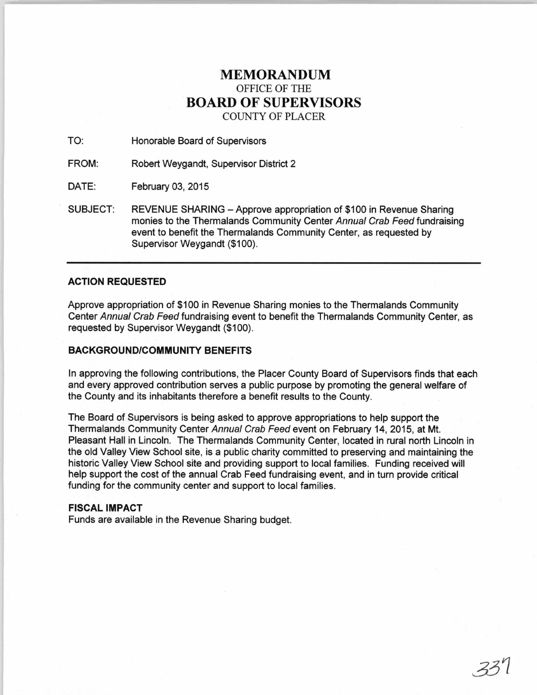## **MEMORANDUM**  OFFICE OF THE **BOARD OF SUPERVISORS**  COUNTY OF PLACER

TO: Honorable Board of Supervisors

FROM: Robert Weygandt, Supervisor District 2

DATE: February 03, 2015

SUBJECT: REVENUE SHARING- Approve appropriation of \$100 in Revenue Sharing monies to the Thermalands Community Center Annual Crab Feed fundraising event to benefit the Thermalands Community Center, as requested by Supervisor Weygandt (\$100).

## **ACTION REQUESTED**

Approve appropriation of \$100 in Revenue Sharing monies to the Thermalands Community Center Annual Crab Feed fundraising event to benefit the Thermalands Community Center, as requested by Supervisor Weygandt (\$100).

## **BACKGROUND/COMMUNITY BENEFITS**

In approving the following contributions, the Placer County Board of Supervisors finds that each and every approved contribution serves a public purpose by promoting the general welfare of the County and its inhabitants therefore a benefit results to the County.

The Board of Supervisors is being asked to approve appropriations to help support the Thermalands Community Center Annual Crab Feed event on February 14, 2015, at Mt. Pleasant Hall in Lincoln. The Thermalands Community Center, located in rural north Lincoln in the old Valley View School site, is a public charity committed to preserving and maintaining the historic Valley View School site and providing support to local families. Funding received will help support the cost of the annual Crab Feed fundraising event, and in turn provide critical funding for the community center and support to local families.

## **FISCAL IMPACT**

Funds are available in the Revenue Sharing budget.